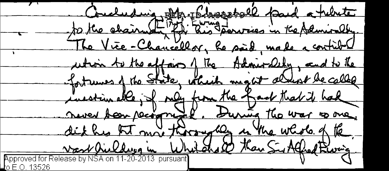Concluding pop Blogsstoll paid a tubule The Vice-Chancellor, le soit male a contribu whois to the effairs of the Admirally, and to the fortunes of the State, which might always be called insertion alle, of ney from the fact that if had never bon recognizer. During the war to one. dit his tet more throughly in the whole of the Approved for Release by NSA on 11-20-2013 pursuant lo E.O. 13526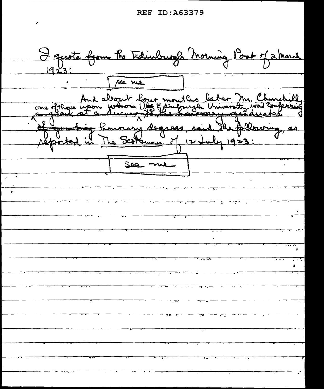the Edinburgh Morning Post of a March D quote  $\overline{t}$ see me <u>four mouth</u> one of those wai <u>de</u> 12 See ł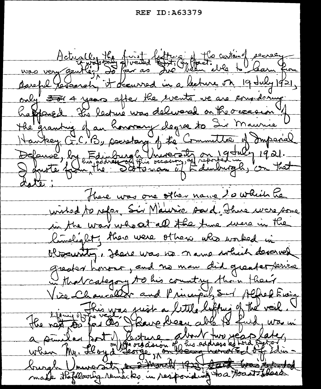Actually the first fiture of the curtain peace of the curtain peace of the curtain peace of the curtain of peace from only <del>Joi</del> 4 years after the Events we are considering happened the lecture was delivered on the occasion He granting et au honorary degree to Sir Maurice Hawkey G.C. By poesetary of the Committee of Imperial Defense, les Edinburgh University son 19 tuly 1921. tate: There was one other name 10 which he wished to refer, Sir Maurice sad, There were some in the war who at all the time were in the limelight; there were others who worked in oloeurity, Heare was no name which deserved greated honour, and no man did granter service I that category to his country than their Vice Chanceller and Principal Suri Alfred Europ The next to fait was just a little leftur of the vail. a similar port) Corrie about two years later, burgh University and thore it 1923, the form of the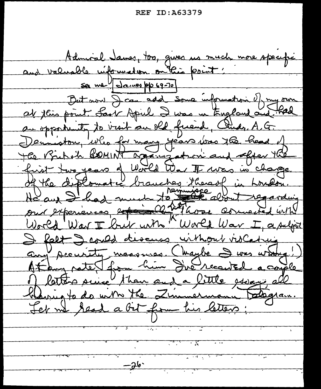Admiral James, too, gives us much more specific and valuable unforwation on this point! sa me dannes pp 69-70 But now J can add some information of my own at this point. Sant April I was in England and Rad an opportunity to visit an old friend, Chile, A.G. Demniston, Who for many years was the head of The Butish BOMINT againg at on and ofter the first two years of World War II was in charge If the diplomatic branches thereof in London. He are I had much to the about regarding our experiences, estaient avec connected with World War I but with "World War I, a subject I felt I could discuss without irstating any Accuraty measures. Chaybe I was writing! Atamy rater from him fre received a couple 1) latters suice than and a little exiggs a having to do with the Zimmermann Palagram Jet me read a bit from his letters;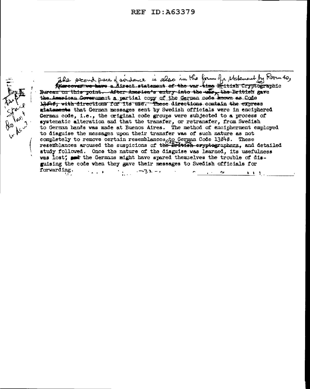The peroud proceed avidence is also in the form of a statement by Poorn 40, Rureau on this point. After America's entry-into the way, the British gave the American Covernment a partial comy of the German code Amovn es Code 13444 with directions for its use. These directions contain the express statements that German messages sent by Swedish officials were in enciphered German code, i.e., the criginal code groups were subjected to a process of systematic alteration and that the transfer, or retransfer, from Swedish to German hands was made at Buenos Aires. The method of encipherment employed to disguise the messages upon their transfer was of such nature as not completely to remove certain resemblances to German Code 13040. These resemblances aroused the suspicions of the Eritain exyptographers, and detailed study followed. Once the nature of the disguise was learned, its usefulness was lost; and the Germans might have spared themselves the trouble of disguising the code when they gave their messages to Swedish officials for forwarding.  $16.78$   $12.78$   $12.78$   $12.78$  $\frac{1}{2}$   $\frac{1}{2}$   $\frac{1}{2}$   $\frac{1}{2}$   $\frac{1}{2}$   $\frac{1}{2}$   $\frac{1}{2}$   $\frac{1}{2}$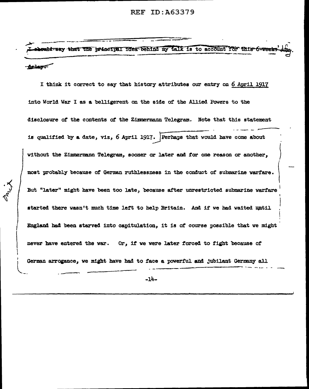ouldway that the principal idea behind my talk is to account for this 6-weeks of deley -

I think it correct to say that history attributes our entry on  $6$  April 1917 into World War I as a belligerent on the side of the Allied Powers to the disclosure *of* the contents *ot* the Zimmermann Telegram. Note that this statement - - ---- - ...--- is qualified by a date, viz,  $6$  April 1917. Perhaps that would have come about without the Zimmermann Telegram, sooner or later and for one reason or another, most probably because of German ruthlessness in the conduct of submarine warfare. But "later" might have been too late, because after unrestricted submarine warfare I started there wasn't much time left to help Britain. And if we had waited until England had been starved into capitulation, it is of course possible that we might never have entered the war. Or, if we were later forced to fight because of German arrogance, we might have had to face a powerful and jubilant Germany all

 $-14-$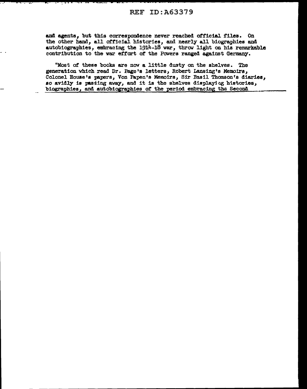and agents, but this correspondence never reached official files. On the other hand, all official histories, and nearly all biographies and autobiographies, embracing the 1914-18 war, throw light on his remarkable contribution to the war effort of the Powers ranged against Germany.

"Most of these books are now a little dusty on the shelves. The generation which read Dr. Page's letters, Robert Lansing's Memoirs, Colonel House's papers, Von Papen's Memoirs, Sir Basil Thomson's diaries, so avidly is passing away, and it is the shelves displaying histories, biographies, and autobiographies of the period embracing the Second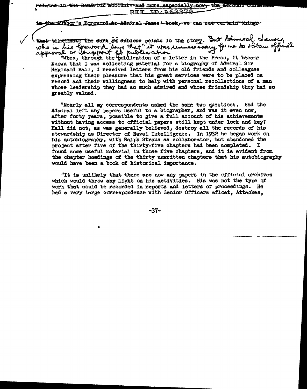related in the Hendrick account - and more expecially now, the account contain REE ID: A63379

in-the Author's Foreyord to Admiral James & booky we can see certain things.

that the mother the dark or dubious points in the story. But Admiral Samos,<br>who in his foreword days that "it was remained for me to obtain official<br>approval or Vampfort for publication of a letter in the Press, it became

known that I was collecting material for a biography of Admiral Sir Reginald Hall, I received letters from his old friends and colleagues expressing their pleasure that his great services were to be placed on record and their willingness to help with personal recollections of a man whose leadership they had so much admired and whose friendship they had so greatly valued.

"Nearly all my correspondents asked the same two questions. Had the Admiral left any papers useful to a biographer, and was it even now, after forty years, possible to give a full account of his achievements without having access to official papers still kept under lock and key? Hall did not, as was generally believed, destroy all the records of his stewardship as Director of Naval Intelligence. In 1932 he began work on his autobiography, with Ralph Straus as collaborator, but abandoned the project after five of the thirty-five chapters had been completed. I found some useful material in those five chapters, and it is evident from the chapter headings of the thirty unwritten chapters that his autobiography would have been a book of historical importance.

"It is unlikely that there are now any papers in the official archives which would throw any light on his activities. His was not the type of work that could be recorded in reports and letters of proceedings. He hed a very large correspondence with Senior Officers afloat, Attaches,

-37-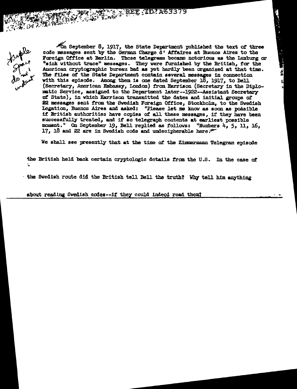futthe

 $i \times 2$ 

 $\mathcal{N}_0$  September 8, 1917, the State Department published the text of three code messages sent by the German Charge d' Affaires at Buenos Aires to the Foreign Office at Berlin. These telegrams became notorious as the Luxburg or "sink without trace" messages. They were furnished by the British, for the American cryptographic bureau had as yet hardly been organized at that time. The files of the State Department contain several messages in connection with this episode. Among them is one dated September 18, 1917, to Bell (Secretary, American Embassy, London) from Harrison (Secretary in the Diplomatic Service, assigned to the Department later--1922--Assistant Secretary of State), in which Harrison transmitted the dates and initial groups of 22 messages sent from the Swedish Foreign Office, Stockholm, to the Swedish Legation, Buenos Aires and asked: "Please let me know as soon as poäsible if British authorities have copies of all these messages, if they have been successfully treated, and if so telegraph contents at earliest possible moment." On September 19, Bell replied as follows: "Numbers 4, 5, 11, 16, 17, 18 and 22 are in Swedish code and undecipherable here.

REE (ID: A63379

We shall see presently that at the time of the Zimmermann Telegram episode

the British held back certain cryptologic details from the U.S. In the case of

the Swedish route did the British tell Bell the truth? Why tell him anything

about reading Svedish codes--if they could indeed read them?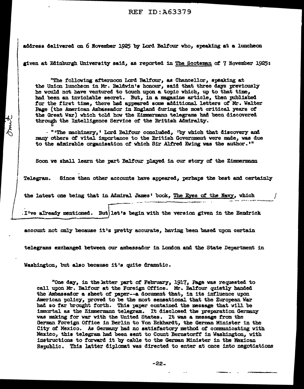address delivered on 6 November 1925 by Lord Balfour who, speaking at a luncheon

given at Edinburgh University said, as reported in The Scotsman of 7 November 1925:

"The following afternoon Lord Balfour, as Chancellor, speaking at the Union luncheon in Mr. Baldwin's honour, said that three days previously he would not have ventured to touch upon a topic which, up to that time, had been an inviolable secret. But, in a magazine article, then published for the first time, there had appeared some additional letters of Mr. Walter Page (the American Ambassador in England during the most critical years of the Great War) which told how the Zimmermann telegrams had been discovered through the Intelligence Service of the British Admiralty.

. "The machinery,' Lord Balfour concluded, 'by which that discovery and many others of vital importance to the British Government were made, was due to the admirable organisation of which Sir Alfred Ewing was the author.'"

Soon we shall learn the part Balfour played in our story of the Zimmermann

Telegram. Since then other accounts have appeared, perhaps the best and certainly

the latest one being that in Admiral James' book, The Eyes of the Navy, which

. I've already mentioned. But let's begin with the version given in the Hendrick

account not only because it's pretty accurate, having been based upon certain

telegrams exchanged between our ambassador in London and the State Department in

Washington, but also because it's quite dramatic.

"One day, in the latter part of February, 1917, Page was requested to call upon Mr. Balfour at the Foreign Office. Mr. Balfour quietly handed the Ambassador a sheet of paper -- a document that, in its influence upon American policy, proved to be the most sensational that the European War had so far brought forth. This paper contained the message that will be immortal as the Zimmermann telegram. It disclosed the preparation Germany was making for war with the United States. It was a message from the German Foreign Office in Berlin to Von Eckhardt, the German Minister in the City of Mexico. As Germany had no satisfactory method of communicating with Mexico, this telegram had been sent to Count Bernstorff in Washington, with instructions to forward it by cable to the German Minister in the Mexican Republic. This latter diplomat was directed to enter at once into negotiations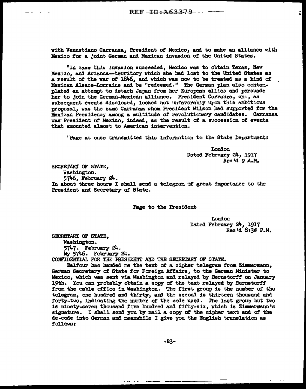with Venustiano Carranza, President of Mexico, and to make an alliance with Mexico for a joint German and Mexican invasion of the United States.

"In case this invasion succeeded, Mexico was to obtain Texas, New Mexico, and Arizona--territory which she had lost to the United States as a result of the war of 1846, and which was now to be treated as a kind of Mexican Alsace-Lorraine and be "redeemed." The German plan also contemplated an attempt to detach Japan from her European allies and persuade her to join the German-Mexican alliance. President Carranza, who, as subsequent events disclosed, looked not unfavorably upon this ambitious proposal. was the same Carranga whom President Wilson had supported for the Mexican Presidency among a multitude of revolutionary candidates. Carranga was President of Mexico. indeed, as the result of a succession of events that amounted almost to American intervention.

"Page at once transmitted this information to the State Department:

London Dated February 24, 1917 Rec'd 9 A.M. ĩ.

SECRETARY OF STATE, Washington.  $5746.$  February  $24.$ In about three hours I shall send a telegram of great importance to the President and Secretary of State.

Page to the President

London Dated February 24, 1917 Rec'd 8:30 P.M.

SECRETARY OF STATE. Washington.  $5747.$  February  $24.$ My 5746. February 24. CONFIDENTIAL FOR THE PRESIDENT AND THE SECRETARY OF STATE.

Balfour has handed me the text of a cipher telegram from Zimmermann, German Secretary of State for Foreign Affairs, to the German Minister to Mexico, which was sent via Washington and relayed by Bernstorff on January 19th. You can probably obtain a copy of the text relayed by Bernstorff from the cable office in Washington. The first group is the number of the telegram, one hundred and thirty, and the second is thirteen thousand and forty-two, indicating the number of the code used. The last group but two is ninety-seven thousand five hundred and fifty-six, which is Zimmermann's signature. I shall send you by mail a copy of the cipher text and of the de-code into German and meanwhile I give you the English translation as follows: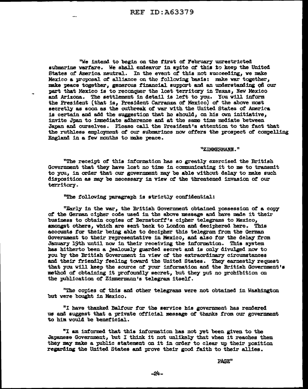"We intend to begin on the first of February unrestricted submarine warfare. We shall endeavor in spite of this to keep the United States of America neutral. In the event of this not succeeding, we make Mexico a proposal of alliance on the following basis: make war together, make peace together, generous financial support and an understanding of our part that Mexico is to reconquer the lost territory in Texas, New Mexico and Arizona. The settlement in detail is left to you. You will inform the President (that is, President Carranza of Mexico) of the above most secretly as soon as the outbreak of war with the United States of America is certain and add the suggestion that he should, on his own initiative, invite Jpan to immediate adherence and at the same time mediate between Japan and ourselves. Please call the President's attention to the fact that the ruthless employment of our submarines now offers the prospect of compelling England in a few months to make peace.

"ZIMMERMANN."

"The receipt of this information has so greatly exercised the British Government that they have lost no time in communicating it to me to transmit to you, in order that our government may be able without delay to make such disposition as may be necessary in view of the threatened invasion of our territory.

"The following paragraph is strictly confidential:

"Early in the war, the British Government obtained possession of a copy of the German cipher code used in the above message and have made it their business to obtain copies of Bernstorff's cipher telegrams to Mexico, amongst others, which are sent back to London and deciphered here. This accounts for their being able to decipher this telegram from the German Government to their representative in Mexico, and also for the delay from January 19th until now in their receiving the information. This system has hitherto been a jealously guarded secret and is only divulged now to you by the British Government in view of the extraordinary circumstances and their friendly feeling toward the United States. They earnestly request that you will keep the source of your information and the British Government's method of obtaining it profoundly secret, but they put no prohibition on the publication of Zimmermann's telegram itself.

"The copies of this and other telegrams were not obtained in Washington but were bought in Mexico.

"I have thanked Balfour for the service his government has rendered us and suggest that a private official message of thanks from our government to him would be beneficial.

"I am informed that this information has not yet been given to the Japanese Government, but I think it not unlikely that when it reaches them they may make a public statement on it in order to clear up their position regarding the United States and prove their good faith to their allies.

PAGE"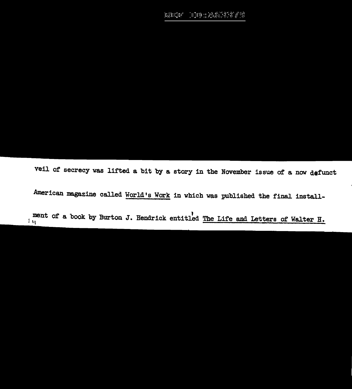ESECR' HHD : AA63337/9

veil of secrecy was lifted a bit by a story in the November issue of a now defunct

American magazine called World's Work in which was published the final install-

ment of a book by Burton J. Hendrick entitled The Life and Letters of Walter H.  $\mathcal{L}(\mathbf{q})$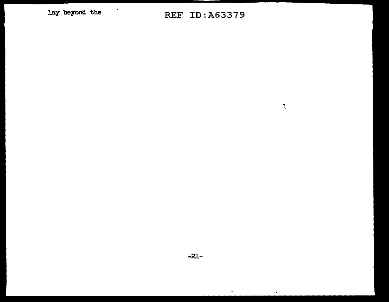$\overline{\phantom{a}}$ 

## lay beyond the REF ID:A63379

 $\tilde{\chi}$ 

 $\blacksquare$ 

 $\cdot$